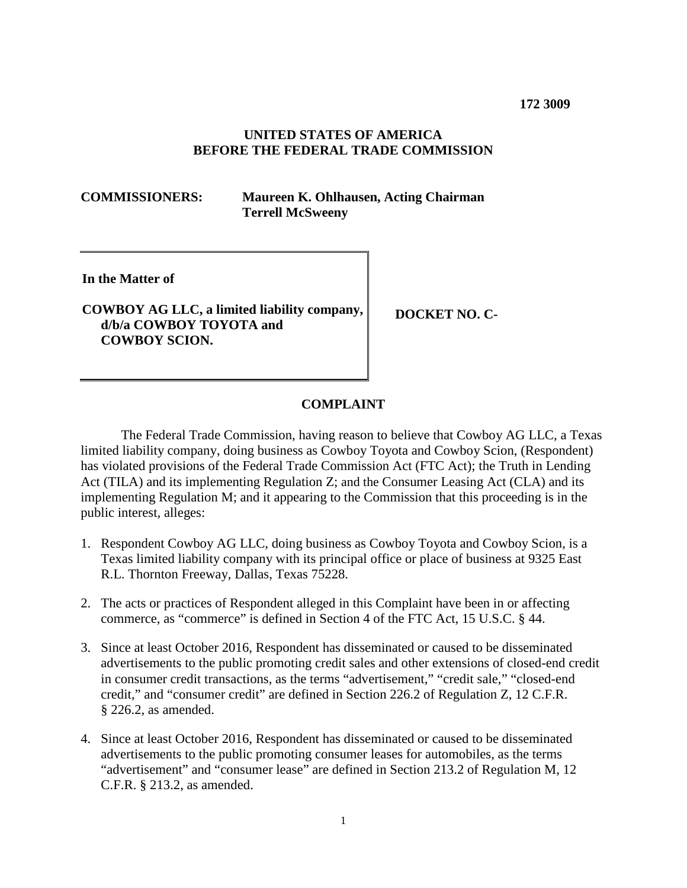**172 3009**

## **UNITED STATES OF AMERICA BEFORE THE FEDERAL TRADE COMMISSION**

**COMMISSIONERS: Maureen K. Ohlhausen, Acting Chairman Terrell McSweeny**

**In the Matter of**

# **COWBOY AG LLC, a limited liability company, d/b/a COWBOY TOYOTA and COWBOY SCION.**

**DOCKET NO. C-**

### **COMPLAINT**

The Federal Trade Commission, having reason to believe that Cowboy AG LLC, a Texas limited liability company, doing business as Cowboy Toyota and Cowboy Scion, (Respondent) has violated provisions of the Federal Trade Commission Act (FTC Act); the Truth in Lending Act (TILA) and its implementing Regulation Z; and the Consumer Leasing Act (CLA) and its implementing Regulation M; and it appearing to the Commission that this proceeding is in the public interest, alleges:

- 1. Respondent Cowboy AG LLC, doing business as Cowboy Toyota and Cowboy Scion, is a Texas limited liability company with its principal office or place of business at 9325 East R.L. Thornton Freeway, Dallas, Texas 75228.
- 2. The acts or practices of Respondent alleged in this Complaint have been in or affecting commerce, as "commerce" is defined in Section 4 of the FTC Act, 15 U.S.C. § 44.
- 3. Since at least October 2016, Respondent has disseminated or caused to be disseminated advertisements to the public promoting credit sales and other extensions of closed-end credit in consumer credit transactions, as the terms "advertisement," "credit sale," "closed-end credit," and "consumer credit" are defined in Section 226.2 of Regulation Z, 12 C.F.R. § 226.2, as amended.
- 4. Since at least October 2016, Respondent has disseminated or caused to be disseminated advertisements to the public promoting consumer leases for automobiles, as the terms "advertisement" and "consumer lease" are defined in Section 213.2 of Regulation M, 12 C.F.R. § 213.2, as amended.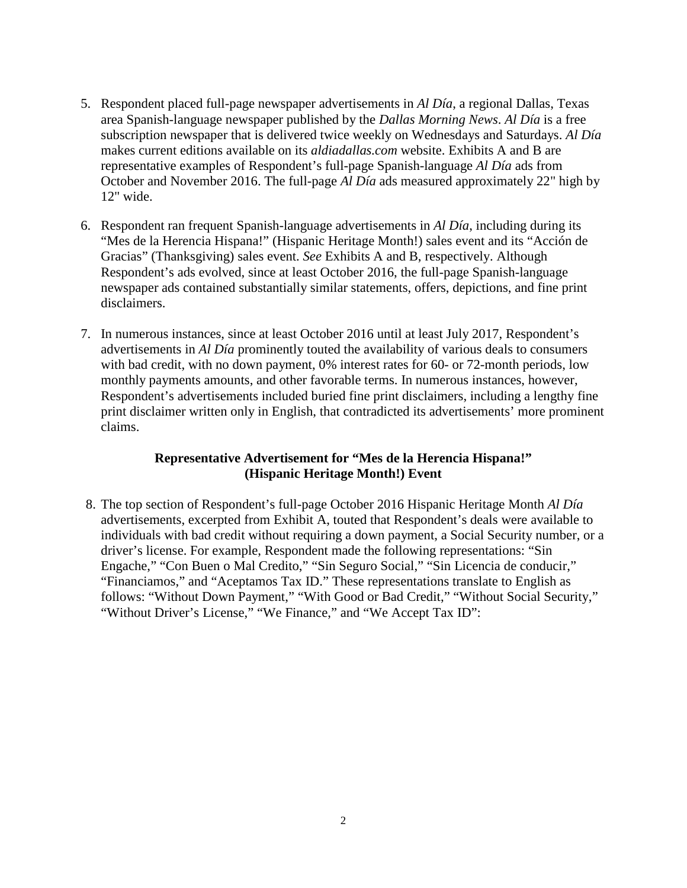- 5. Respondent placed full-page newspaper advertisements in *Al Día*, a regional Dallas, Texas area Spanish-language newspaper published by the *Dallas Morning News*. *Al Día* is a free subscription newspaper that is delivered twice weekly on Wednesdays and Saturdays. *Al Día*  makes current editions available on its *aldiadallas.com* website. Exhibits A and B are representative examples of Respondent's full-page Spanish-language *Al Día* ads from October and November 2016. The full-page *Al Día* ads measured approximately 22" high by 12" wide.
- 6. Respondent ran frequent Spanish-language advertisements in *Al Día*, including during its "Mes de la Herencia Hispana!" (Hispanic Heritage Month!) sales event and its "Acción de Gracias" (Thanksgiving) sales event. *See* Exhibits A and B, respectively. Although Respondent's ads evolved, since at least October 2016, the full-page Spanish-language newspaper ads contained substantially similar statements, offers, depictions, and fine print disclaimers.
- 7. In numerous instances, since at least October 2016 until at least July 2017, Respondent's advertisements in *Al Día* prominently touted the availability of various deals to consumers with bad credit, with no down payment, 0% interest rates for 60- or 72-month periods, low monthly payments amounts, and other favorable terms. In numerous instances, however, Respondent's advertisements included buried fine print disclaimers, including a lengthy fine print disclaimer written only in English, that contradicted its advertisements' more prominent claims.

# **Representative Advertisement for "Mes de la Herencia Hispana!" (Hispanic Heritage Month!) Event**

8. The top section of Respondent's full-page October 2016 Hispanic Heritage Month *Al Día* advertisements, excerpted from Exhibit A, touted that Respondent's deals were available to individuals with bad credit without requiring a down payment, a Social Security number, or a driver's license. For example, Respondent made the following representations: "Sin Engache," "Con Buen o Mal Credito," "Sin Seguro Social," "Sin Licencia de conducir," "Financiamos," and "Aceptamos Tax ID." These representations translate to English as follows: "Without Down Payment," "With Good or Bad Credit," "Without Social Security," "Without Driver's License," "We Finance," and "We Accept Tax ID":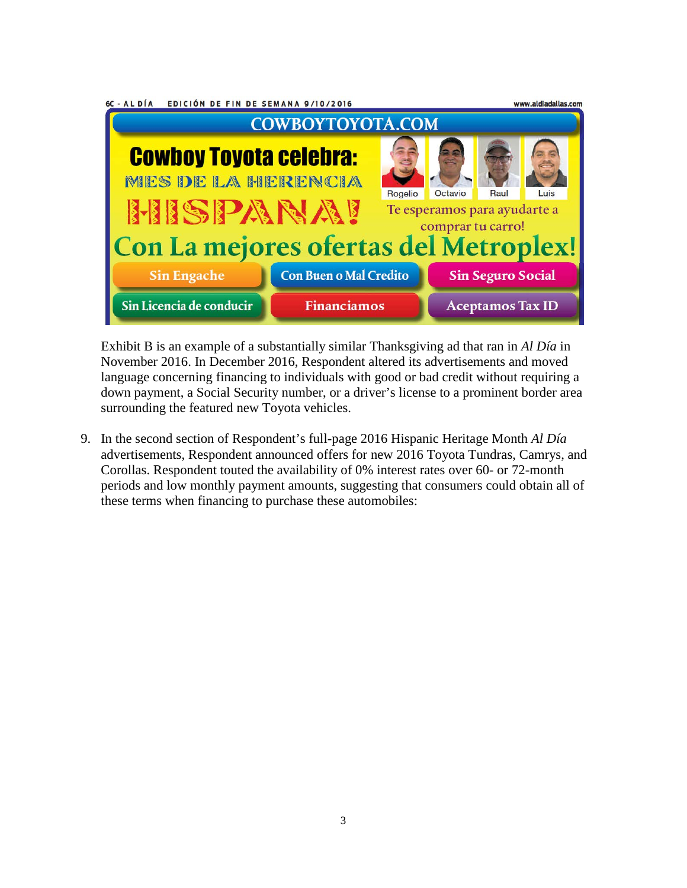| 6C - AL DÍA<br>EDICIÓN DE FIN DE SEMANA 9/10/2016                               |                               |  |                          | www.aldiadallas.com |      |  |
|---------------------------------------------------------------------------------|-------------------------------|--|--------------------------|---------------------|------|--|
| <b>COWBOYTOYOTA.COM</b>                                                         |                               |  |                          |                     |      |  |
| <b>Cowboy Toyota celebra:</b><br><b>MES DE LA HERENCIA</b>                      |                               |  | Octavio                  | Raul                | Luis |  |
| Rogelio<br><b>HISPANAI</b><br>Te esperamos para ayudarte a<br>comprar tu carro! |                               |  |                          |                     |      |  |
| Con La mejores ofertas del Metroplex!                                           |                               |  |                          |                     |      |  |
| <b>Sin Engache</b>                                                              | <b>Con Buen o Mal Credito</b> |  | <b>Sin Seguro Social</b> |                     |      |  |
| Sin Licencia de conducir                                                        | <b>Financiamos</b>            |  | <b>Aceptamos Tax ID</b>  |                     |      |  |

Exhibit B is an example of a substantially similar Thanksgiving ad that ran in *Al Día* in November 2016. In December 2016, Respondent altered its advertisements and moved language concerning financing to individuals with good or bad credit without requiring a down payment, a Social Security number, or a driver's license to a prominent border area surrounding the featured new Toyota vehicles.

9. In the second section of Respondent's full-page 2016 Hispanic Heritage Month *Al Día* advertisements, Respondent announced offers for new 2016 Toyota Tundras, Camrys, and Corollas. Respondent touted the availability of 0% interest rates over 60- or 72-month periods and low monthly payment amounts, suggesting that consumers could obtain all of these terms when financing to purchase these automobiles: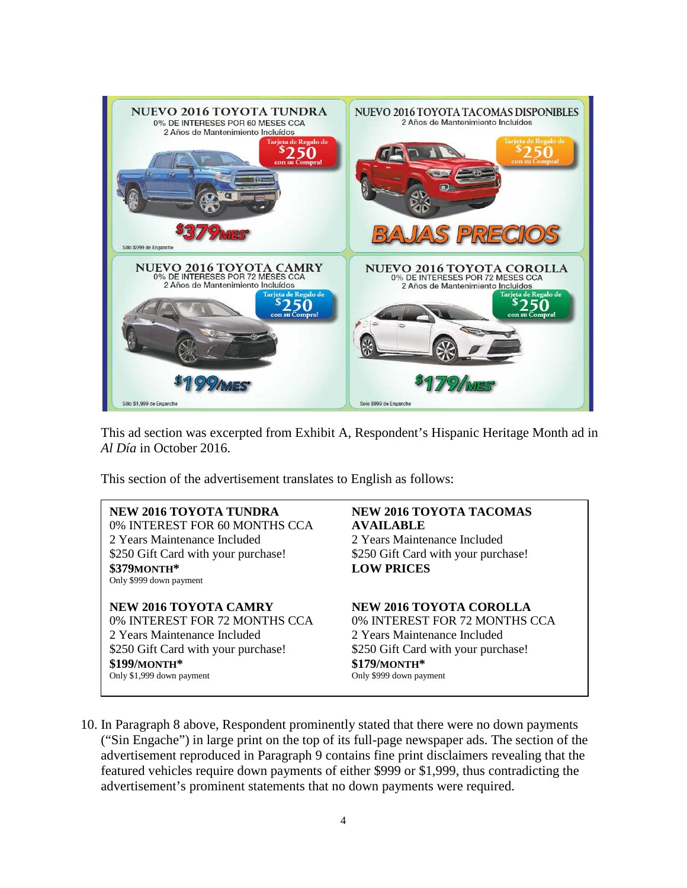

This ad section was excerpted from Exhibit A, Respondent's Hispanic Heritage Month ad in *Al Día* in October 2016.

This section of the advertisement translates to English as follows:

**NEW 2016 TOYOTA TUNDRA NEW 2016 TOYOTA TACOMAS** 0% INTEREST FOR 60 MONTHS CCA **AVAILABLE** 2 Years Maintenance Included 2 Years Maintenance Included \$250 Gift Card with your purchase! \$250 Gift Card with your purchase! **\$379MONTH\* LOW PRICES** Only \$999 down payment

**NEW 2016 TOYOTA CAMRY NEW 2016 TOYOTA COROLLA** 0% INTEREST FOR 72 MONTHS CCA 0% INTEREST FOR 72 MONTHS CCA 2 Years Maintenance Included 2 Years Maintenance Included \$250 Gift Card with your purchase! \$250 Gift Card with your purchase! **\$199/MONTH\* \$179/MONTH\*** Only \$1,999 down payment

10. In Paragraph 8 above, Respondent prominently stated that there were no down payments ("Sin Engache") in large print on the top of its full-page newspaper ads. The section of the advertisement reproduced in Paragraph 9 contains fine print disclaimers revealing that the featured vehicles require down payments of either \$999 or \$1,999, thus contradicting the advertisement's prominent statements that no down payments were required.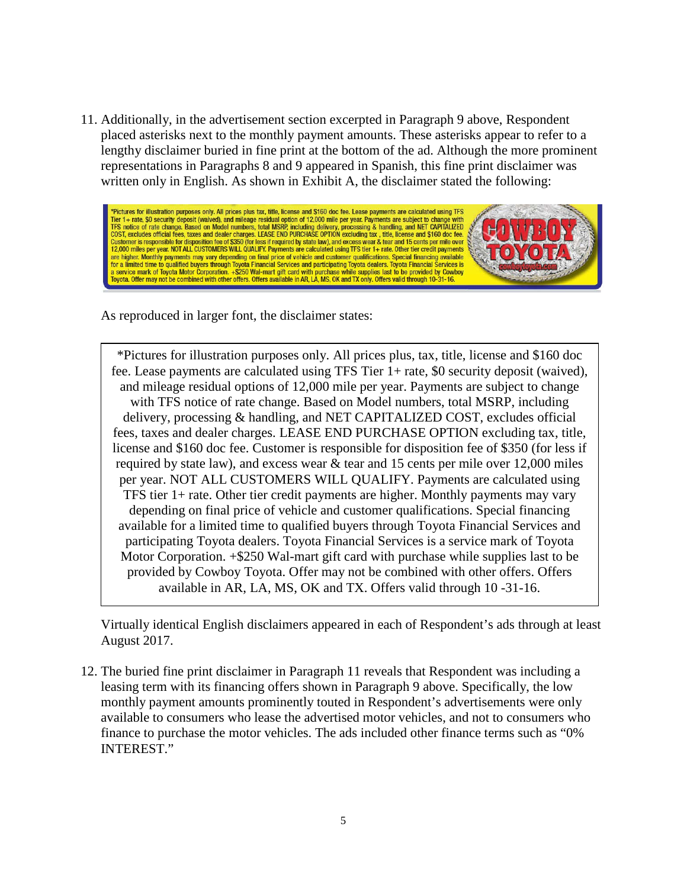11. Additionally, in the advertisement section excerpted in Paragraph 9 above, Respondent placed asterisks next to the monthly payment amounts. These asterisks appear to refer to a lengthy disclaimer buried in fine print at the bottom of the ad. Although the more prominent representations in Paragraphs 8 and 9 appeared in Spanish, this fine print disclaimer was written only in English. As shown in Exhibit A, the disclaimer stated the following:



As reproduced in larger font, the disclaimer states:

\*Pictures for illustration purposes only. All prices plus, tax, title, license and \$160 doc fee. Lease payments are calculated using TFS Tier 1+ rate, \$0 security deposit (waived), and mileage residual options of 12,000 mile per year. Payments are subject to change with TFS notice of rate change. Based on Model numbers, total MSRP, including delivery, processing & handling, and NET CAPITALIZED COST, excludes official fees, taxes and dealer charges. LEASE END PURCHASE OPTION excluding tax, title, license and \$160 doc fee. Customer is responsible for disposition fee of \$350 (for less if required by state law), and excess wear & tear and 15 cents per mile over 12,000 miles per year. NOT ALL CUSTOMERS WILL QUALIFY. Payments are calculated using TFS tier 1+ rate. Other tier credit payments are higher. Monthly payments may vary depending on final price of vehicle and customer qualifications. Special financing available for a limited time to qualified buyers through Toyota Financial Services and participating Toyota dealers. Toyota Financial Services is a service mark of Toyota Motor Corporation. +\$250 Wal-mart gift card with purchase while supplies last to be provided by Cowboy Toyota. Offer may not be combined with other offers. Offers available in AR, LA, MS, OK and TX. Offers valid through 10 -31-16.

Virtually identical English disclaimers appeared in each of Respondent's ads through at least August 2017.

12. The buried fine print disclaimer in Paragraph 11 reveals that Respondent was including a leasing term with its financing offers shown in Paragraph 9 above. Specifically, the low monthly payment amounts prominently touted in Respondent's advertisements were only available to consumers who lease the advertised motor vehicles, and not to consumers who finance to purchase the motor vehicles. The ads included other finance terms such as "0% INTEREST."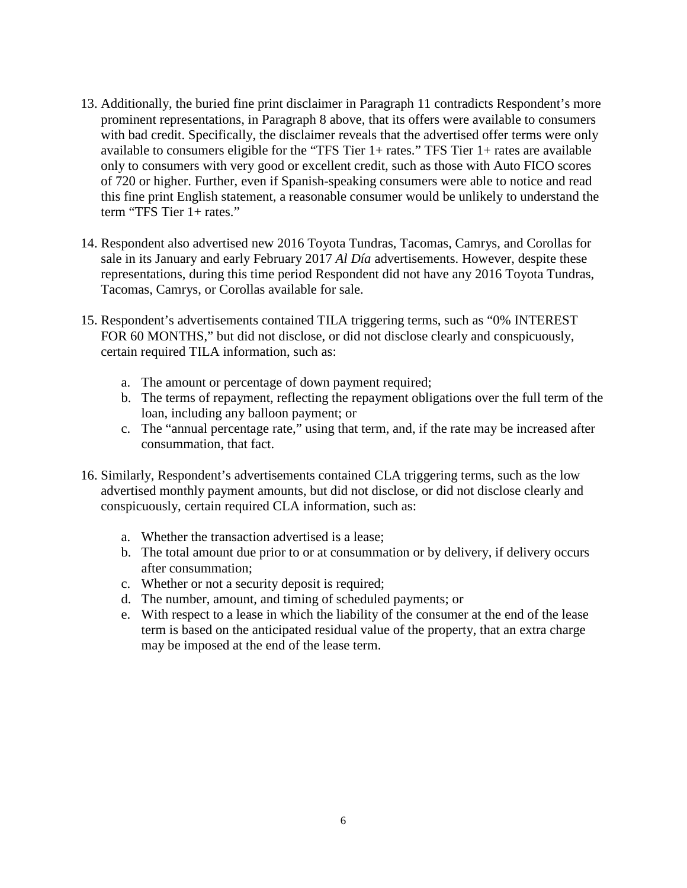- 13. Additionally, the buried fine print disclaimer in Paragraph 11 contradicts Respondent's more prominent representations, in Paragraph 8 above, that its offers were available to consumers with bad credit. Specifically, the disclaimer reveals that the advertised offer terms were only available to consumers eligible for the "TFS Tier 1+ rates." TFS Tier 1+ rates are available only to consumers with very good or excellent credit, such as those with Auto FICO scores of 720 or higher. Further, even if Spanish-speaking consumers were able to notice and read this fine print English statement, a reasonable consumer would be unlikely to understand the term "TFS Tier 1+ rates."
- 14. Respondent also advertised new 2016 Toyota Tundras, Tacomas, Camrys, and Corollas for sale in its January and early February 2017 *Al Día* advertisements. However, despite these representations, during this time period Respondent did not have any 2016 Toyota Tundras, Tacomas, Camrys, or Corollas available for sale.
- 15. Respondent's advertisements contained TILA triggering terms, such as "0% INTEREST FOR 60 MONTHS," but did not disclose, or did not disclose clearly and conspicuously, certain required TILA information, such as:
	- a. The amount or percentage of down payment required;
	- b. The terms of repayment, reflecting the repayment obligations over the full term of the loan, including any balloon payment; or
	- c. The "annual percentage rate," using that term, and, if the rate may be increased after consummation, that fact.
- 16. Similarly, Respondent's advertisements contained CLA triggering terms, such as the low advertised monthly payment amounts, but did not disclose, or did not disclose clearly and conspicuously, certain required CLA information, such as:
	- a. Whether the transaction advertised is a lease;
	- b. The total amount due prior to or at consummation or by delivery, if delivery occurs after consummation;
	- c. Whether or not a security deposit is required;
	- d. The number, amount, and timing of scheduled payments; or
	- e. With respect to a lease in which the liability of the consumer at the end of the lease term is based on the anticipated residual value of the property, that an extra charge may be imposed at the end of the lease term.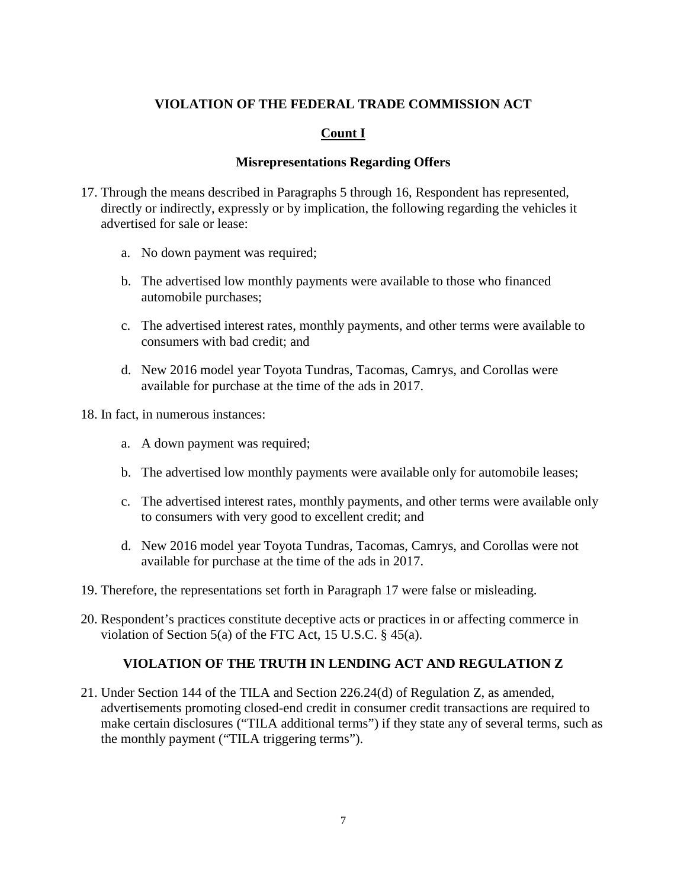# **VIOLATION OF THE FEDERAL TRADE COMMISSION ACT**

# **Count I**

### **Misrepresentations Regarding Offers**

- 17. Through the means described in Paragraphs 5 through 16, Respondent has represented, directly or indirectly, expressly or by implication, the following regarding the vehicles it advertised for sale or lease:
	- a. No down payment was required;
	- b. The advertised low monthly payments were available to those who financed automobile purchases;
	- c. The advertised interest rates, monthly payments, and other terms were available to consumers with bad credit; and
	- d. New 2016 model year Toyota Tundras, Tacomas, Camrys, and Corollas were available for purchase at the time of the ads in 2017.
- 18. In fact, in numerous instances:
	- a. A down payment was required;
	- b. The advertised low monthly payments were available only for automobile leases;
	- c. The advertised interest rates, monthly payments, and other terms were available only to consumers with very good to excellent credit; and
	- d. New 2016 model year Toyota Tundras, Tacomas, Camrys, and Corollas were not available for purchase at the time of the ads in 2017.
- 19. Therefore, the representations set forth in Paragraph 17 were false or misleading.
- 20. Respondent's practices constitute deceptive acts or practices in or affecting commerce in violation of Section 5(a) of the FTC Act, 15 U.S.C. § 45(a).

#### **VIOLATION OF THE TRUTH IN LENDING ACT AND REGULATION Z**

21. Under Section 144 of the TILA and Section 226.24(d) of Regulation Z, as amended, advertisements promoting closed-end credit in consumer credit transactions are required to make certain disclosures ("TILA additional terms") if they state any of several terms, such as the monthly payment ("TILA triggering terms").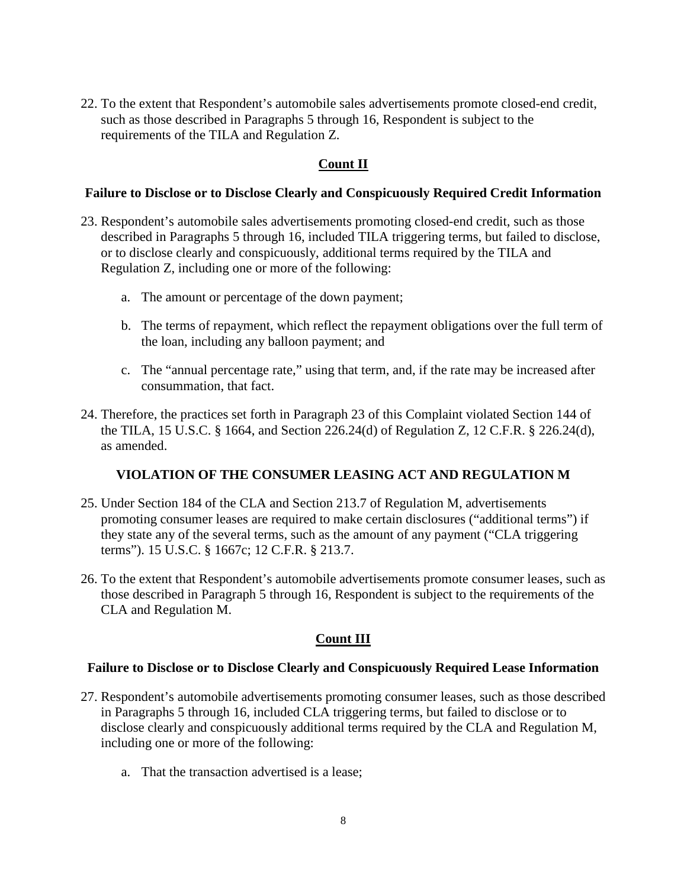22. To the extent that Respondent's automobile sales advertisements promote closed-end credit, such as those described in Paragraphs 5 through 16, Respondent is subject to the requirements of the TILA and Regulation Z.

# **Count II**

#### **Failure to Disclose or to Disclose Clearly and Conspicuously Required Credit Information**

- 23. Respondent's automobile sales advertisements promoting closed-end credit, such as those described in Paragraphs 5 through 16, included TILA triggering terms, but failed to disclose, or to disclose clearly and conspicuously, additional terms required by the TILA and Regulation Z, including one or more of the following:
	- a. The amount or percentage of the down payment;
	- b. The terms of repayment, which reflect the repayment obligations over the full term of the loan, including any balloon payment; and
	- c. The "annual percentage rate," using that term, and, if the rate may be increased after consummation, that fact.
- 24. Therefore, the practices set forth in Paragraph 23 of this Complaint violated Section 144 of the TILA, 15 U.S.C. § 1664, and Section 226.24(d) of Regulation Z, 12 C.F.R. § 226.24(d), as amended.

## **VIOLATION OF THE CONSUMER LEASING ACT AND REGULATION M**

- 25. Under Section 184 of the CLA and Section 213.7 of Regulation M, advertisements promoting consumer leases are required to make certain disclosures ("additional terms") if they state any of the several terms, such as the amount of any payment ("CLA triggering terms"). 15 U.S.C. § 1667c; 12 C.F.R. § 213.7.
- 26. To the extent that Respondent's automobile advertisements promote consumer leases, such as those described in Paragraph 5 through 16, Respondent is subject to the requirements of the CLA and Regulation M.

## **Count III**

#### **Failure to Disclose or to Disclose Clearly and Conspicuously Required Lease Information**

- 27. Respondent's automobile advertisements promoting consumer leases, such as those described in Paragraphs 5 through 16, included CLA triggering terms, but failed to disclose or to disclose clearly and conspicuously additional terms required by the CLA and Regulation M, including one or more of the following:
	- a. That the transaction advertised is a lease;